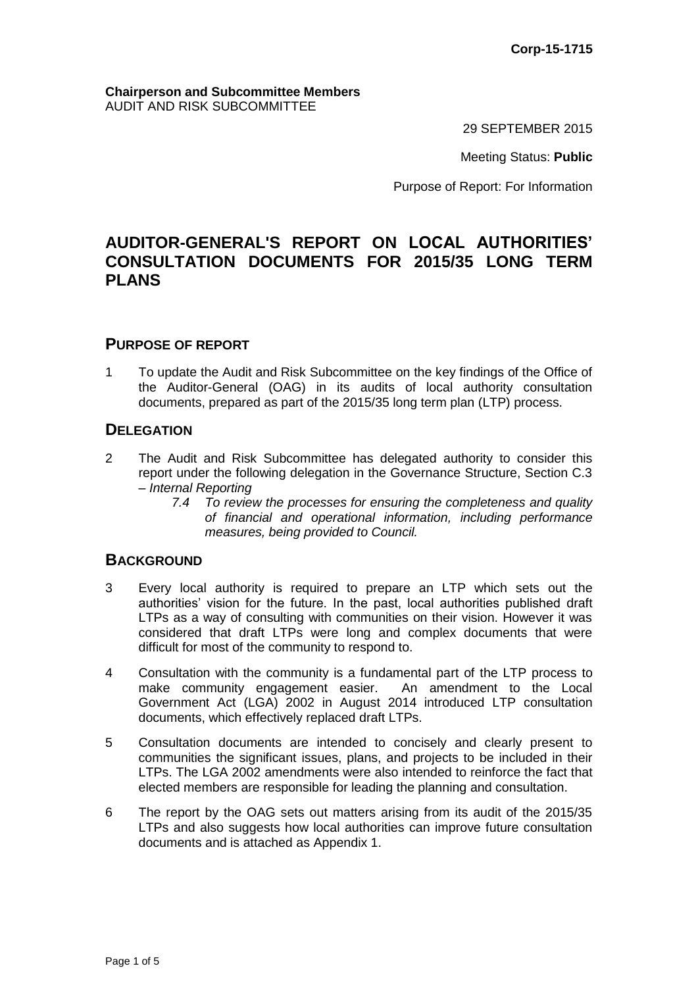#### **Chairperson and Subcommittee Members** AUDIT AND RISK SUBCOMMITTEE

29 SEPTEMBER 2015

Meeting Status: **Public**

Purpose of Report: For Information

# **AUDITOR-GENERAL'S REPORT ON LOCAL AUTHORITIES' CONSULTATION DOCUMENTS FOR 2015/35 LONG TERM PLANS**

### **PURPOSE OF REPORT**

1 To update the Audit and Risk Subcommittee on the key findings of the Office of the Auditor-General (OAG) in its audits of local authority consultation documents, prepared as part of the 2015/35 long term plan (LTP) process.

# **DELEGATION**

- 2 The Audit and Risk Subcommittee has delegated authority to consider this report under the following delegation in the Governance Structure, Section C.3 – *Internal Reporting*
	- *7.4 To review the processes for ensuring the completeness and quality of financial and operational information, including performance measures, being provided to Council.*

# **BACKGROUND**

- 3 Every local authority is required to prepare an LTP which sets out the authorities' vision for the future. In the past, local authorities published draft LTPs as a way of consulting with communities on their vision. However it was considered that draft LTPs were long and complex documents that were difficult for most of the community to respond to.
- 4 Consultation with the community is a fundamental part of the LTP process to make community engagement easier. An amendment to the Local Government Act (LGA) 2002 in August 2014 introduced LTP consultation documents, which effectively replaced draft LTPs.
- 5 Consultation documents are intended to concisely and clearly present to communities the significant issues, plans, and projects to be included in their LTPs. The LGA 2002 amendments were also intended to reinforce the fact that elected members are responsible for leading the planning and consultation.
- 6 The report by the OAG sets out matters arising from its audit of the 2015/35 LTPs and also suggests how local authorities can improve future consultation documents and is attached as Appendix 1.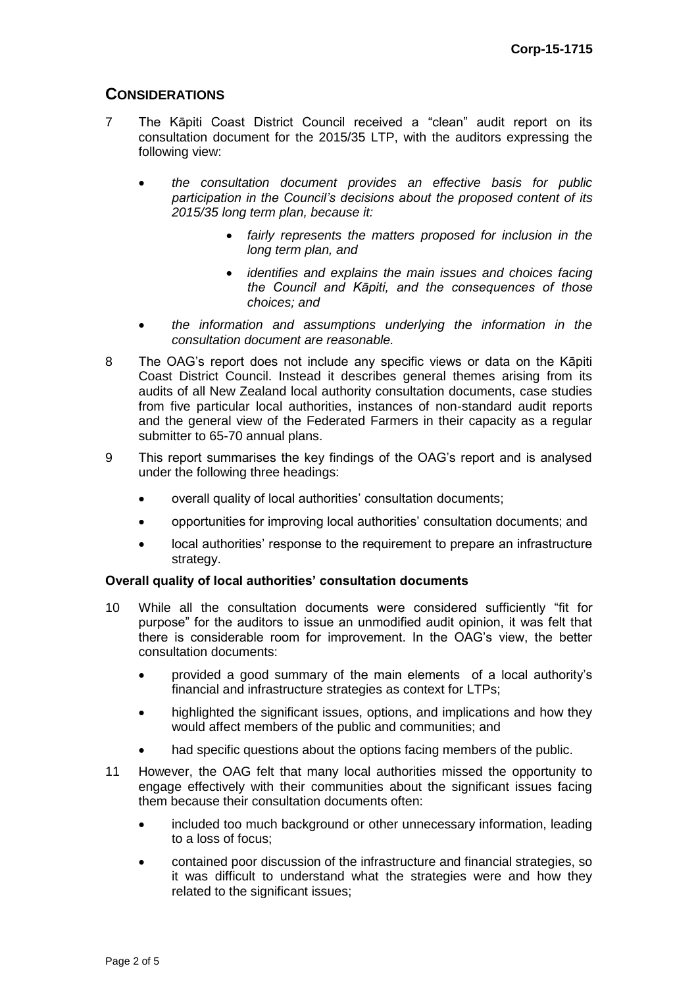# **CONSIDERATIONS**

- 7 The Kāpiti Coast District Council received a "clean" audit report on its consultation document for the 2015/35 LTP, with the auditors expressing the following view:
	- *the consultation document provides an effective basis for public participation in the Council's decisions about the proposed content of its 2015/35 long term plan, because it:*
		- *fairly represents the matters proposed for inclusion in the long term plan, and*
		- *identifies and explains the main issues and choices facing the Council and Kāpiti, and the consequences of those choices; and*
	- *the information and assumptions underlying the information in the consultation document are reasonable.*
- 8 The OAG's report does not include any specific views or data on the Kāpiti Coast District Council. Instead it describes general themes arising from its audits of all New Zealand local authority consultation documents, case studies from five particular local authorities, instances of non-standard audit reports and the general view of the Federated Farmers in their capacity as a regular submitter to 65-70 annual plans.
- 9 This report summarises the key findings of the OAG's report and is analysed under the following three headings:
	- overall quality of local authorities' consultation documents;
	- opportunities for improving local authorities' consultation documents; and
	- local authorities' response to the requirement to prepare an infrastructure strategy.

#### **Overall quality of local authorities' consultation documents**

- 10 While all the consultation documents were considered sufficiently "fit for purpose" for the auditors to issue an unmodified audit opinion, it was felt that there is considerable room for improvement. In the OAG's view, the better consultation documents:
	- provided a good summary of the main elements of a local authority's financial and infrastructure strategies as context for LTPs;
	- highlighted the significant issues, options, and implications and how they would affect members of the public and communities; and
	- had specific questions about the options facing members of the public.
- 11 However, the OAG felt that many local authorities missed the opportunity to engage effectively with their communities about the significant issues facing them because their consultation documents often:
	- included too much background or other unnecessary information, leading to a loss of focus;
	- contained poor discussion of the infrastructure and financial strategies, so it was difficult to understand what the strategies were and how they related to the significant issues;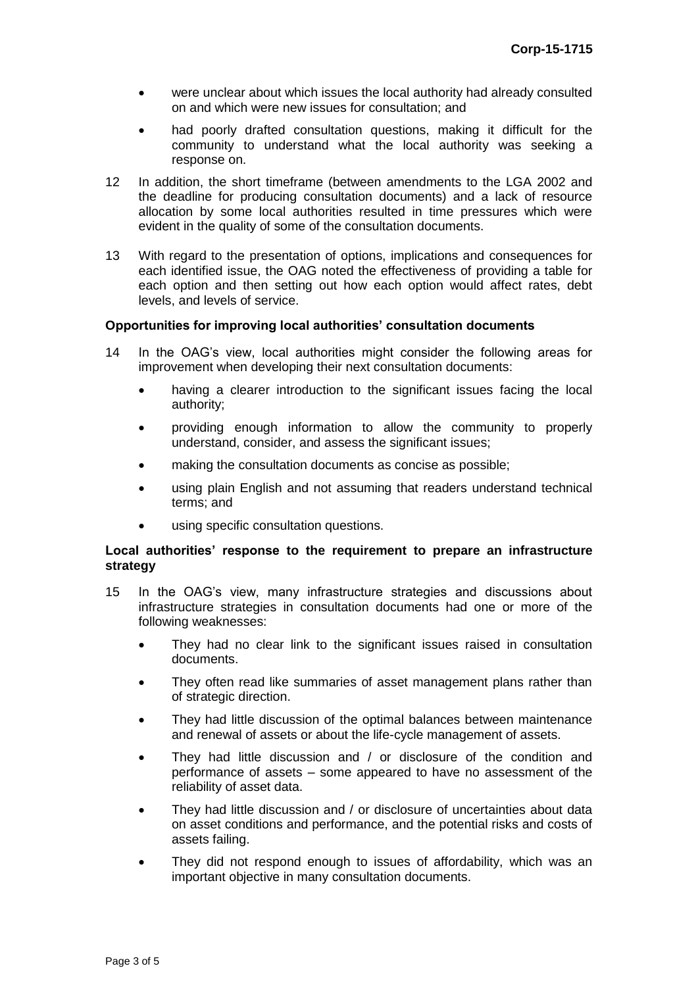- were unclear about which issues the local authority had already consulted on and which were new issues for consultation; and
- had poorly drafted consultation questions, making it difficult for the community to understand what the local authority was seeking a response on.
- 12 In addition, the short timeframe (between amendments to the LGA 2002 and the deadline for producing consultation documents) and a lack of resource allocation by some local authorities resulted in time pressures which were evident in the quality of some of the consultation documents.
- 13 With regard to the presentation of options, implications and consequences for each identified issue, the OAG noted the effectiveness of providing a table for each option and then setting out how each option would affect rates, debt levels, and levels of service.

### **Opportunities for improving local authorities' consultation documents**

- 14 In the OAG's view, local authorities might consider the following areas for improvement when developing their next consultation documents:
	- having a clearer introduction to the significant issues facing the local authority;
	- providing enough information to allow the community to properly understand, consider, and assess the significant issues;
	- making the consultation documents as concise as possible;
	- using plain English and not assuming that readers understand technical terms; and
	- using specific consultation questions.

#### **Local authorities' response to the requirement to prepare an infrastructure strategy**

- 15 In the OAG's view, many infrastructure strategies and discussions about infrastructure strategies in consultation documents had one or more of the following weaknesses:
	- They had no clear link to the significant issues raised in consultation documents.
	- They often read like summaries of asset management plans rather than of strategic direction.
	- They had little discussion of the optimal balances between maintenance and renewal of assets or about the life-cycle management of assets.
	- They had little discussion and / or disclosure of the condition and performance of assets – some appeared to have no assessment of the reliability of asset data.
	- They had little discussion and / or disclosure of uncertainties about data on asset conditions and performance, and the potential risks and costs of assets failing.
	- They did not respond enough to issues of affordability, which was an important objective in many consultation documents.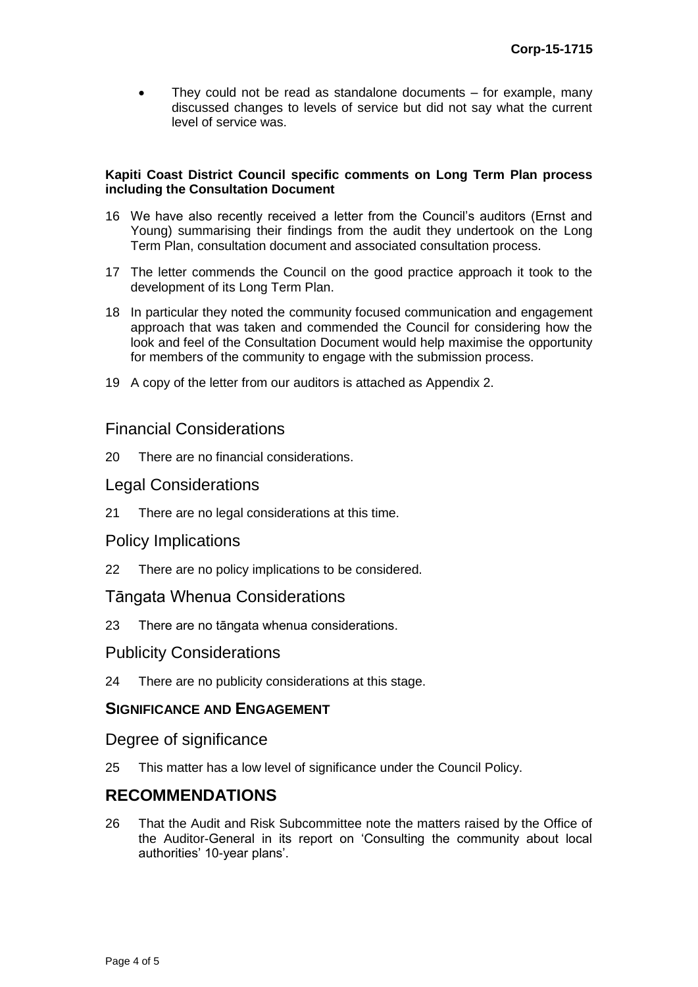They could not be read as standalone documents – for example, many discussed changes to levels of service but did not say what the current level of service was.

### **Kapiti Coast District Council specific comments on Long Term Plan process including the Consultation Document**

- 16 We have also recently received a letter from the Council's auditors (Ernst and Young) summarising their findings from the audit they undertook on the Long Term Plan, consultation document and associated consultation process.
- 17 The letter commends the Council on the good practice approach it took to the development of its Long Term Plan.
- 18 In particular they noted the community focused communication and engagement approach that was taken and commended the Council for considering how the look and feel of the Consultation Document would help maximise the opportunity for members of the community to engage with the submission process.
- 19 A copy of the letter from our auditors is attached as Appendix 2.

# Financial Considerations

20 There are no financial considerations.

# Legal Considerations

21 There are no legal considerations at this time.

# Policy Implications

22 There are no policy implications to be considered.

# Tāngata Whenua Considerations

23 There are no tāngata whenua considerations.

# Publicity Considerations

24 There are no publicity considerations at this stage.

# **SIGNIFICANCE AND ENGAGEMENT**

# Degree of significance

25 This matter has a low level of significance under the Council Policy.

# **RECOMMENDATIONS**

26 That the Audit and Risk Subcommittee note the matters raised by the Office of the Auditor-General in its report on 'Consulting the community about local authorities' 10-year plans'.